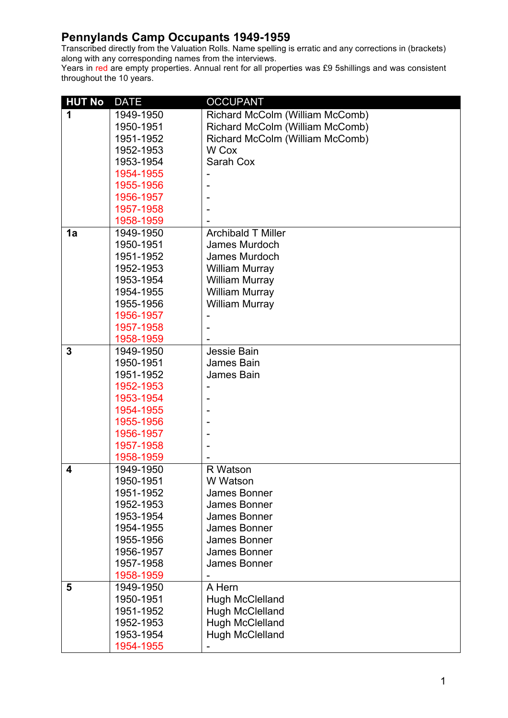Transcribed directly from the Valuation Rolls. Name spelling is erratic and any corrections in (brackets) along with any corresponding names from the interviews.

| <b>HUT No</b>  | <b>DATE</b> | <b>OCCUPANT</b>                 |
|----------------|-------------|---------------------------------|
| 1              | 1949-1950   | Richard McColm (William McComb) |
|                | 1950-1951   | Richard McColm (William McComb) |
|                | 1951-1952   | Richard McColm (William McComb) |
|                | 1952-1953   | W Cox                           |
|                | 1953-1954   | Sarah Cox                       |
|                | 1954-1955   |                                 |
|                | 1955-1956   |                                 |
|                | 1956-1957   |                                 |
|                | 1957-1958   |                                 |
|                | 1958-1959   |                                 |
| 1a             | 1949-1950   | <b>Archibald T Miller</b>       |
|                | 1950-1951   | James Murdoch                   |
|                | 1951-1952   | James Murdoch                   |
|                | 1952-1953   | <b>William Murray</b>           |
|                | 1953-1954   | <b>William Murray</b>           |
|                | 1954-1955   | <b>William Murray</b>           |
|                | 1955-1956   | <b>William Murray</b>           |
|                | 1956-1957   |                                 |
|                | 1957-1958   |                                 |
|                | 1958-1959   |                                 |
| $\overline{3}$ | 1949-1950   | Jessie Bain                     |
|                | 1950-1951   | James Bain                      |
|                | 1951-1952   | James Bain                      |
|                | 1952-1953   |                                 |
|                | 1953-1954   |                                 |
|                | 1954-1955   |                                 |
|                | 1955-1956   |                                 |
|                | 1956-1957   |                                 |
|                | 1957-1958   |                                 |
|                | 1958-1959   |                                 |
| 4              | 1949-1950   | R Watson                        |
|                | 1950-1951   | W Watson                        |
|                | 1951-1952   | James Bonner                    |
|                | 1952-1953   | James Bonner                    |
|                | 1953-1954   | James Bonner                    |
|                | 1954-1955   | <b>James Bonner</b>             |
|                | 1955-1956   | James Bonner                    |
|                | 1956-1957   | James Bonner                    |
|                | 1957-1958   | <b>James Bonner</b>             |
|                | 1958-1959   |                                 |
| 5              | 1949-1950   | A Hern                          |
|                | 1950-1951   | <b>Hugh McClelland</b>          |
|                | 1951-1952   | <b>Hugh McClelland</b>          |
|                | 1952-1953   | <b>Hugh McClelland</b>          |
|                | 1953-1954   | <b>Hugh McClelland</b>          |
|                | 1954-1955   |                                 |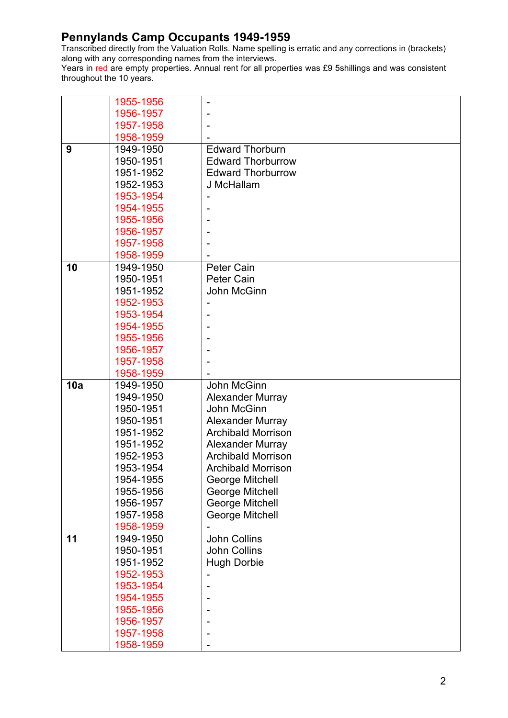Transcribed directly from the Valuation Rolls. Name spelling is erratic and any corrections in (brackets) along with any corresponding names from the interviews.

|     | 1955-1956 |                           |
|-----|-----------|---------------------------|
|     | 1956-1957 |                           |
|     | 1957-1958 |                           |
|     | 1958-1959 |                           |
| 9   | 1949-1950 | <b>Edward Thorburn</b>    |
|     | 1950-1951 | <b>Edward Thorburrow</b>  |
|     | 1951-1952 | <b>Edward Thorburrow</b>  |
|     | 1952-1953 | J McHallam                |
|     | 1953-1954 |                           |
|     | 1954-1955 |                           |
|     | 1955-1956 |                           |
|     | 1956-1957 |                           |
|     | 1957-1958 |                           |
|     | 1958-1959 |                           |
| 10  | 1949-1950 | <b>Peter Cain</b>         |
|     | 1950-1951 | Peter Cain                |
|     | 1951-1952 | John McGinn               |
|     | 1952-1953 |                           |
|     | 1953-1954 |                           |
|     | 1954-1955 |                           |
|     | 1955-1956 |                           |
|     | 1956-1957 |                           |
|     | 1957-1958 |                           |
|     | 1958-1959 |                           |
| 10a | 1949-1950 | John McGinn               |
|     | 1949-1950 | <b>Alexander Murray</b>   |
|     | 1950-1951 | John McGinn               |
|     | 1950-1951 | <b>Alexander Murray</b>   |
|     | 1951-1952 | <b>Archibald Morrison</b> |
|     | 1951-1952 | <b>Alexander Murray</b>   |
|     | 1952-1953 | <b>Archibald Morrison</b> |
|     | 1953-1954 | <b>Archibald Morrison</b> |
|     | 1954-1955 | <b>George Mitchell</b>    |
|     | 1955-1956 | George Mitchell           |
|     | 1956-1957 | <b>George Mitchell</b>    |
|     | 1957-1958 | <b>George Mitchell</b>    |
|     | 1958-1959 |                           |
| 11  | 1949-1950 | <b>John Collins</b>       |
|     | 1950-1951 | <b>John Collins</b>       |
|     | 1951-1952 | <b>Hugh Dorbie</b>        |
|     | 1952-1953 |                           |
|     | 1953-1954 |                           |
|     | 1954-1955 |                           |
|     | 1955-1956 |                           |
|     | 1956-1957 |                           |
|     | 1957-1958 |                           |
|     | 1958-1959 |                           |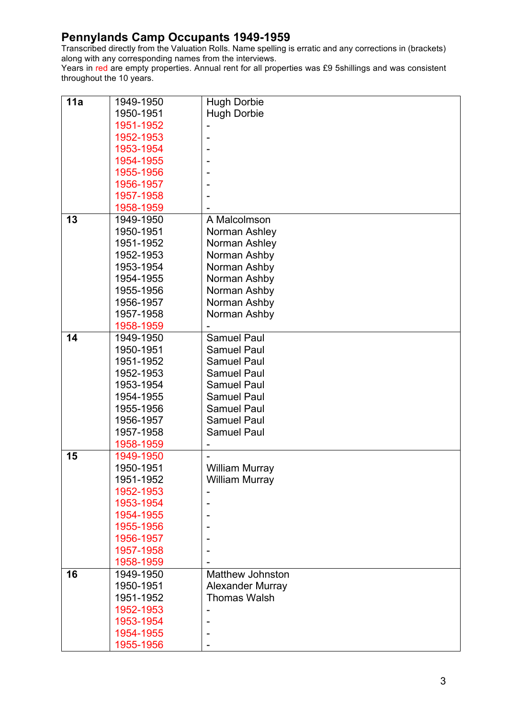Transcribed directly from the Valuation Rolls. Name spelling is erratic and any corrections in (brackets) along with any corresponding names from the interviews.

| 11a | 1949-1950 | <b>Hugh Dorbie</b>      |
|-----|-----------|-------------------------|
|     | 1950-1951 | <b>Hugh Dorbie</b>      |
|     | 1951-1952 |                         |
|     | 1952-1953 | $\blacksquare$          |
|     | 1953-1954 |                         |
|     | 1954-1955 |                         |
|     | 1955-1956 |                         |
|     | 1956-1957 |                         |
|     | 1957-1958 |                         |
|     | 1958-1959 |                         |
| 13  | 1949-1950 | A Malcolmson            |
|     | 1950-1951 | Norman Ashley           |
|     | 1951-1952 | Norman Ashley           |
|     | 1952-1953 | Norman Ashby            |
|     | 1953-1954 | Norman Ashby            |
|     | 1954-1955 | Norman Ashby            |
|     | 1955-1956 | Norman Ashby            |
|     | 1956-1957 | Norman Ashby            |
|     | 1957-1958 | Norman Ashby            |
|     | 1958-1959 |                         |
| 14  | 1949-1950 | <b>Samuel Paul</b>      |
|     | 1950-1951 | <b>Samuel Paul</b>      |
|     | 1951-1952 | <b>Samuel Paul</b>      |
|     | 1952-1953 | <b>Samuel Paul</b>      |
|     | 1953-1954 | <b>Samuel Paul</b>      |
|     | 1954-1955 | <b>Samuel Paul</b>      |
|     | 1955-1956 | <b>Samuel Paul</b>      |
|     | 1956-1957 | <b>Samuel Paul</b>      |
|     | 1957-1958 | <b>Samuel Paul</b>      |
|     | 1958-1959 | -                       |
| 15  | 1949-1950 |                         |
|     | 1950-1951 | <b>William Murray</b>   |
|     | 1951-1952 | William Murray          |
|     | 1952-1953 |                         |
|     | 1953-1954 |                         |
|     | 1954-1955 |                         |
|     | 1955-1956 |                         |
|     | 1956-1957 |                         |
|     | 1957-1958 |                         |
|     | 1958-1959 |                         |
| 16  | 1949-1950 | <b>Matthew Johnston</b> |
|     | 1950-1951 | <b>Alexander Murray</b> |
|     | 1951-1952 | <b>Thomas Walsh</b>     |
|     | 1952-1953 |                         |
|     | 1953-1954 |                         |
|     | 1954-1955 |                         |
|     | 1955-1956 |                         |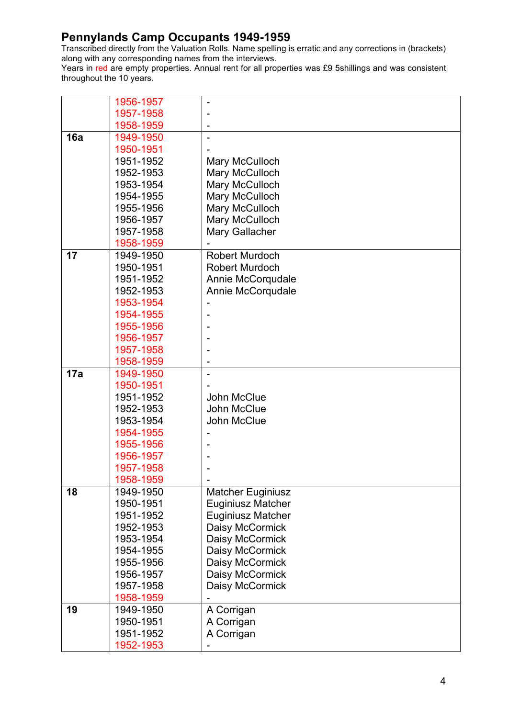Transcribed directly from the Valuation Rolls. Name spelling is erratic and any corrections in (brackets) along with any corresponding names from the interviews.

|     | 1956-1957 |                          |
|-----|-----------|--------------------------|
|     | 1957-1958 |                          |
|     | 1958-1959 |                          |
| 16a | 1949-1950 |                          |
|     | 1950-1951 |                          |
|     | 1951-1952 | Mary McCulloch           |
|     | 1952-1953 | Mary McCulloch           |
|     | 1953-1954 | Mary McCulloch           |
|     | 1954-1955 | Mary McCulloch           |
|     | 1955-1956 | Mary McCulloch           |
|     | 1956-1957 | Mary McCulloch           |
|     | 1957-1958 | Mary Gallacher           |
|     | 1958-1959 |                          |
| 17  | 1949-1950 | <b>Robert Murdoch</b>    |
|     | 1950-1951 | <b>Robert Murdoch</b>    |
|     | 1951-1952 | Annie McCorqudale        |
|     | 1952-1953 | Annie McCorqudale        |
|     | 1953-1954 |                          |
|     | 1954-1955 |                          |
|     | 1955-1956 |                          |
|     | 1956-1957 |                          |
|     | 1957-1958 |                          |
|     | 1958-1959 |                          |
| 17a | 1949-1950 |                          |
|     | 1950-1951 |                          |
|     | 1951-1952 | John McClue              |
|     | 1952-1953 | John McClue              |
|     | 1953-1954 | John McClue              |
|     | 1954-1955 |                          |
|     | 1955-1956 |                          |
|     | 1956-1957 |                          |
|     | 1957-1958 |                          |
|     | 1958-1959 |                          |
| 18  | 1949-1950 | <b>Matcher Euginiusz</b> |
|     | 1950-1951 | <b>Euginiusz Matcher</b> |
|     | 1951-1952 | <b>Euginiusz Matcher</b> |
|     | 1952-1953 | Daisy McCormick          |
|     | 1953-1954 | Daisy McCormick          |
|     | 1954-1955 | Daisy McCormick          |
|     | 1955-1956 | Daisy McCormick          |
|     | 1956-1957 | Daisy McCormick          |
|     | 1957-1958 | Daisy McCormick          |
|     | 1958-1959 |                          |
| 19  | 1949-1950 | A Corrigan               |
|     | 1950-1951 | A Corrigan               |
|     | 1951-1952 | A Corrigan               |
|     | 1952-1953 |                          |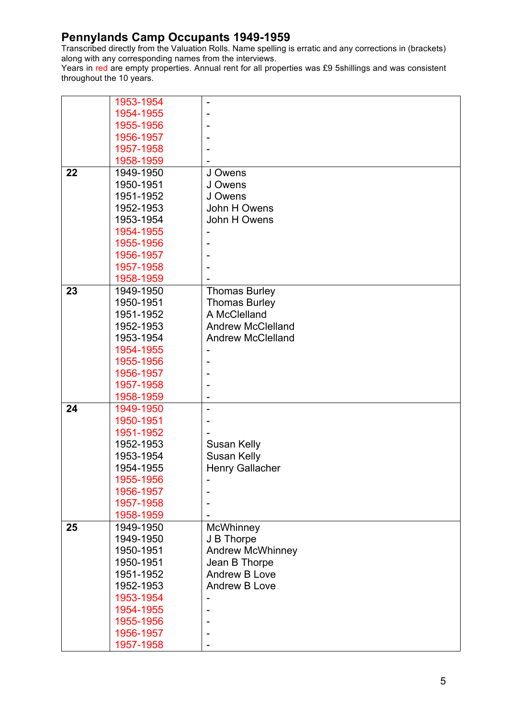Transcribed directly from the Valuation Rolls. Name spelling is erratic and any corrections in (brackets) along with any corresponding names from the interviews.

|    | 1953-1954 |                          |
|----|-----------|--------------------------|
|    | 1954-1955 |                          |
|    | 1955-1956 |                          |
|    | 1956-1957 |                          |
|    | 1957-1958 |                          |
|    | 1958-1959 |                          |
| 22 | 1949-1950 | J Owens                  |
|    | 1950-1951 | J Owens                  |
|    | 1951-1952 | J Owens                  |
|    | 1952-1953 | John H Owens             |
|    | 1953-1954 | John H Owens             |
|    | 1954-1955 |                          |
|    | 1955-1956 |                          |
|    | 1956-1957 |                          |
|    | 1957-1958 |                          |
|    | 1958-1959 |                          |
| 23 | 1949-1950 | <b>Thomas Burley</b>     |
|    | 1950-1951 | <b>Thomas Burley</b>     |
|    | 1951-1952 | A McClelland             |
|    | 1952-1953 | <b>Andrew McClelland</b> |
|    | 1953-1954 | <b>Andrew McClelland</b> |
|    | 1954-1955 |                          |
|    | 1955-1956 |                          |
|    | 1956-1957 |                          |
|    | 1957-1958 |                          |
|    | 1958-1959 |                          |
| 24 | 1949-1950 | $\overline{\phantom{0}}$ |
|    | 1950-1951 |                          |
|    | 1951-1952 |                          |
|    | 1952-1953 | <b>Susan Kelly</b>       |
|    | 1953-1954 | <b>Susan Kelly</b>       |
|    | 1954-1955 | <b>Henry Gallacher</b>   |
|    | 1955-1956 |                          |
|    | 1956-1957 |                          |
|    | 1957-1958 |                          |
|    | 1958-1959 |                          |
| 25 | 1949-1950 | <b>McWhinney</b>         |
|    | 1949-1950 | J B Thorpe               |
|    | 1950-1951 | <b>Andrew McWhinney</b>  |
|    | 1950-1951 | Jean B Thorpe            |
|    | 1951-1952 | Andrew B Love            |
|    | 1952-1953 | Andrew B Love            |
|    | 1953-1954 |                          |
|    | 1954-1955 |                          |
|    | 1955-1956 |                          |
|    | 1956-1957 |                          |
|    | 1957-1958 |                          |
|    |           |                          |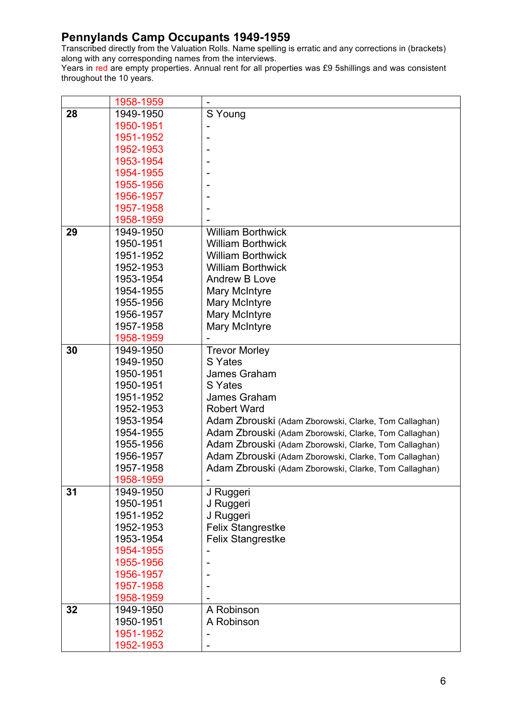Transcribed directly from the Valuation Rolls. Name spelling is erratic and any corrections in (brackets) along with any corresponding names from the interviews.

|    | 1958-1959 |                                                       |
|----|-----------|-------------------------------------------------------|
| 28 | 1949-1950 | S Young                                               |
|    | 1950-1951 |                                                       |
|    | 1951-1952 |                                                       |
|    | 1952-1953 |                                                       |
|    | 1953-1954 |                                                       |
|    | 1954-1955 |                                                       |
|    | 1955-1956 |                                                       |
|    | 1956-1957 |                                                       |
|    | 1957-1958 |                                                       |
|    | 1958-1959 |                                                       |
| 29 | 1949-1950 | <b>William Borthwick</b>                              |
|    | 1950-1951 | <b>William Borthwick</b>                              |
|    | 1951-1952 | <b>William Borthwick</b>                              |
|    | 1952-1953 | <b>William Borthwick</b>                              |
|    | 1953-1954 | Andrew B Love                                         |
|    | 1954-1955 | <b>Mary McIntyre</b>                                  |
|    | 1955-1956 | Mary McIntyre                                         |
|    | 1956-1957 | Mary McIntyre                                         |
|    | 1957-1958 | Mary McIntyre                                         |
|    | 1958-1959 |                                                       |
| 30 | 1949-1950 | <b>Trevor Morley</b>                                  |
|    | 1949-1950 | S Yates                                               |
|    | 1950-1951 | James Graham                                          |
|    | 1950-1951 | S Yates                                               |
|    | 1951-1952 | James Graham                                          |
|    | 1952-1953 | <b>Robert Ward</b>                                    |
|    | 1953-1954 | Adam Zbrouski (Adam Zborowski, Clarke, Tom Callaghan) |
|    | 1954-1955 | Adam Zbrouski (Adam Zborowski, Clarke, Tom Callaghan) |
|    | 1955-1956 | Adam Zbrouski (Adam Zborowski, Clarke, Tom Callaghan) |
|    | 1956-1957 | Adam Zbrouski (Adam Zborowski, Clarke, Tom Callaghan) |
|    | 1957-1958 | Adam Zbrouski (Adam Zborowski, Clarke, Tom Callaghan) |
|    | 1958-1959 |                                                       |
| 31 | 1949-1950 | J Ruggeri                                             |
|    | 1950-1951 | J Ruggeri                                             |
|    | 1951-1952 | J Ruggeri                                             |
|    | 1952-1953 | <b>Felix Stangrestke</b>                              |
|    | 1953-1954 | <b>Felix Stangrestke</b>                              |
|    | 1954-1955 |                                                       |
|    | 1955-1956 |                                                       |
|    | 1956-1957 |                                                       |
|    | 1957-1958 |                                                       |
|    | 1958-1959 |                                                       |
| 32 | 1949-1950 | A Robinson                                            |
|    | 1950-1951 | A Robinson                                            |
|    | 1951-1952 |                                                       |
|    | 1952-1953 |                                                       |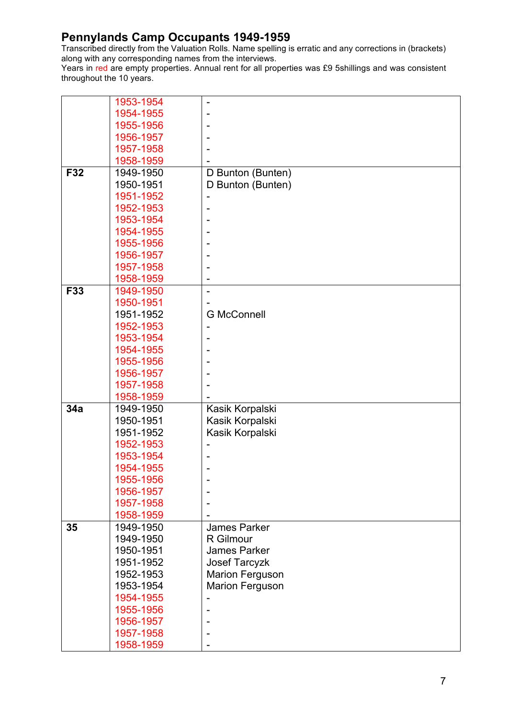Transcribed directly from the Valuation Rolls. Name spelling is erratic and any corrections in (brackets) along with any corresponding names from the interviews.

|     | 1953-1954              |                                  |
|-----|------------------------|----------------------------------|
|     | 1954-1955              |                                  |
|     | 1955-1956              |                                  |
|     | 1956-1957              |                                  |
|     | 1957-1958              |                                  |
|     | 1958-1959              |                                  |
| F32 | 1949-1950              | D Bunton (Bunten)                |
|     | 1950-1951              | D Bunton (Bunten)                |
|     | 1951-1952              |                                  |
|     | 1952-1953              |                                  |
|     | 1953-1954              |                                  |
|     | 1954-1955              |                                  |
|     | 1955-1956              |                                  |
|     | 1956-1957              |                                  |
|     | 1957-1958              |                                  |
|     | 1958-1959              |                                  |
| F33 | 1949-1950              | ۰                                |
|     | 1950-1951              |                                  |
|     | 1951-1952              | <b>G McConnell</b>               |
|     | 1952-1953              |                                  |
|     | 1953-1954              |                                  |
|     | 1954-1955              |                                  |
|     | 1955-1956              |                                  |
|     |                        |                                  |
|     | 1956-1957              |                                  |
|     | 1957-1958              |                                  |
| 34a | 1958-1959              |                                  |
|     | 1949-1950              | Kasik Korpalski                  |
|     | 1950-1951<br>1951-1952 | Kasik Korpalski                  |
|     |                        | Kasik Korpalski                  |
|     | 1952-1953              |                                  |
|     | 1953-1954              |                                  |
|     | 1954-1955              |                                  |
|     | 1955-1956              |                                  |
|     | 1956-1957<br>1957-1958 |                                  |
|     |                        |                                  |
| 35  | 1958-1959              |                                  |
|     | 1949-1950<br>1949-1950 | <b>James Parker</b><br>R Gilmour |
|     | 1950-1951              | <b>James Parker</b>              |
|     | 1951-1952              | Josef Tarcyzk                    |
|     |                        |                                  |
|     | 1952-1953              | <b>Marion Ferguson</b>           |
|     | 1953-1954<br>1954-1955 | <b>Marion Ferguson</b>           |
|     |                        |                                  |
|     | 1955-1956              |                                  |
|     | 1956-1957              |                                  |
|     | 1957-1958              |                                  |
|     | 1958-1959              |                                  |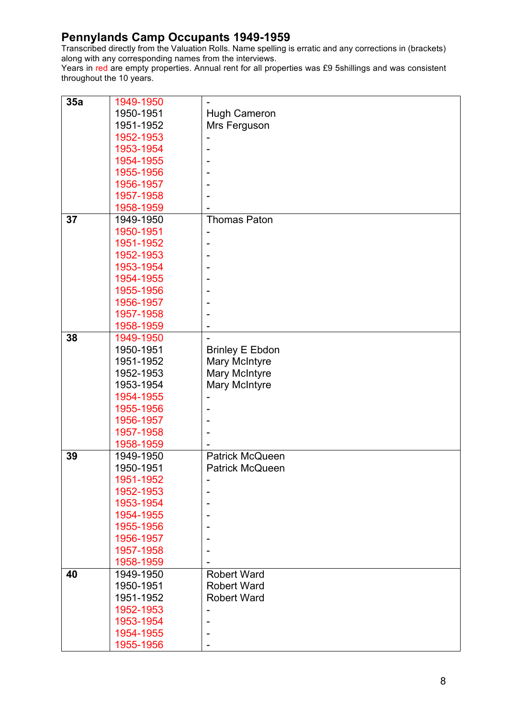Transcribed directly from the Valuation Rolls. Name spelling is erratic and any corrections in (brackets) along with any corresponding names from the interviews.

| 35a | 1949-1950 |                        |
|-----|-----------|------------------------|
|     | 1950-1951 | <b>Hugh Cameron</b>    |
|     | 1951-1952 | Mrs Ferguson           |
|     | 1952-1953 |                        |
|     | 1953-1954 |                        |
|     | 1954-1955 |                        |
|     | 1955-1956 |                        |
|     | 1956-1957 |                        |
|     | 1957-1958 |                        |
|     | 1958-1959 |                        |
| 37  | 1949-1950 | <b>Thomas Paton</b>    |
|     | 1950-1951 |                        |
|     | 1951-1952 | ۰                      |
|     | 1952-1953 |                        |
|     | 1953-1954 |                        |
|     | 1954-1955 |                        |
|     | 1955-1956 |                        |
|     | 1956-1957 |                        |
|     | 1957-1958 |                        |
|     | 1958-1959 |                        |
| 38  | 1949-1950 |                        |
|     | 1950-1951 | <b>Brinley E Ebdon</b> |
|     | 1951-1952 | Mary McIntyre          |
|     | 1952-1953 | Mary McIntyre          |
|     | 1953-1954 | Mary McIntyre          |
|     | 1954-1955 |                        |
|     | 1955-1956 |                        |
|     | 1956-1957 |                        |
|     | 1957-1958 |                        |
|     | 1958-1959 |                        |
| 39  | 1949-1950 | <b>Patrick McQueen</b> |
|     | 1950-1951 | <b>Patrick McQueen</b> |
|     | 1951-1952 |                        |
|     | 1952-1953 |                        |
|     | 1953-1954 |                        |
|     | 1954-1955 |                        |
|     | 1955-1956 |                        |
|     | 1956-1957 |                        |
|     | 1957-1958 |                        |
|     | 1958-1959 |                        |
| 40  | 1949-1950 | <b>Robert Ward</b>     |
|     | 1950-1951 | <b>Robert Ward</b>     |
|     | 1951-1952 | <b>Robert Ward</b>     |
|     | 1952-1953 |                        |
|     | 1953-1954 |                        |
|     | 1954-1955 |                        |
|     | 1955-1956 |                        |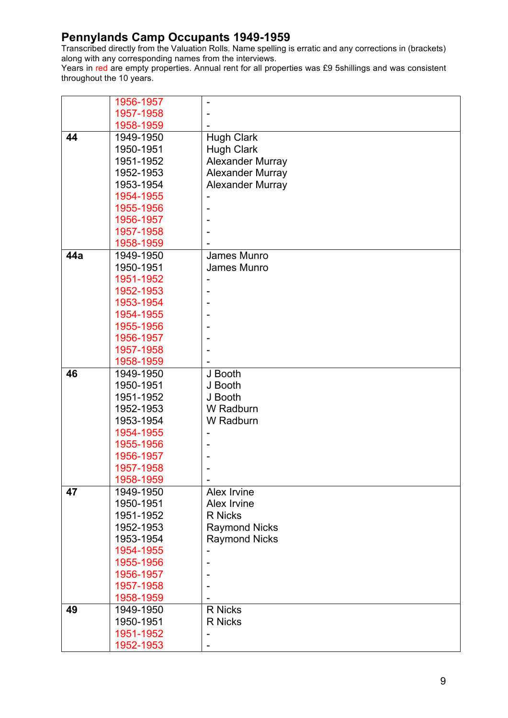Transcribed directly from the Valuation Rolls. Name spelling is erratic and any corrections in (brackets) along with any corresponding names from the interviews.

|     | 1956-1957 |                         |
|-----|-----------|-------------------------|
|     | 1957-1958 |                         |
|     | 1958-1959 |                         |
| 44  | 1949-1950 | <b>Hugh Clark</b>       |
|     | 1950-1951 | <b>Hugh Clark</b>       |
|     | 1951-1952 | <b>Alexander Murray</b> |
|     | 1952-1953 | <b>Alexander Murray</b> |
|     | 1953-1954 | <b>Alexander Murray</b> |
|     | 1954-1955 |                         |
|     | 1955-1956 |                         |
|     | 1956-1957 |                         |
|     | 1957-1958 |                         |
|     | 1958-1959 |                         |
| 44a | 1949-1950 | James Munro             |
|     | 1950-1951 | James Munro             |
|     | 1951-1952 |                         |
|     | 1952-1953 |                         |
|     | 1953-1954 |                         |
|     | 1954-1955 |                         |
|     | 1955-1956 |                         |
|     | 1956-1957 |                         |
|     | 1957-1958 |                         |
|     | 1958-1959 |                         |
| 46  | 1949-1950 | J Booth                 |
|     | 1950-1951 | J Booth                 |
|     | 1951-1952 | J Booth                 |
|     | 1952-1953 | W Radburn               |
|     | 1953-1954 | W Radburn               |
|     | 1954-1955 |                         |
|     | 1955-1956 |                         |
|     | 1956-1957 |                         |
|     | 1957-1958 |                         |
|     | 1958-1959 |                         |
| 47  | 1949-1950 | Alex Irvine             |
|     | 1950-1951 | Alex Irvine             |
|     | 1951-1952 | <b>R</b> Nicks          |
|     | 1952-1953 | <b>Raymond Nicks</b>    |
|     | 1953-1954 | <b>Raymond Nicks</b>    |
|     | 1954-1955 |                         |
|     | 1955-1956 |                         |
|     | 1956-1957 |                         |
|     | 1957-1958 |                         |
|     | 1958-1959 |                         |
| 49  | 1949-1950 | R Nicks                 |
|     | 1950-1951 | R Nicks                 |
|     | 1951-1952 |                         |
|     | 1952-1953 |                         |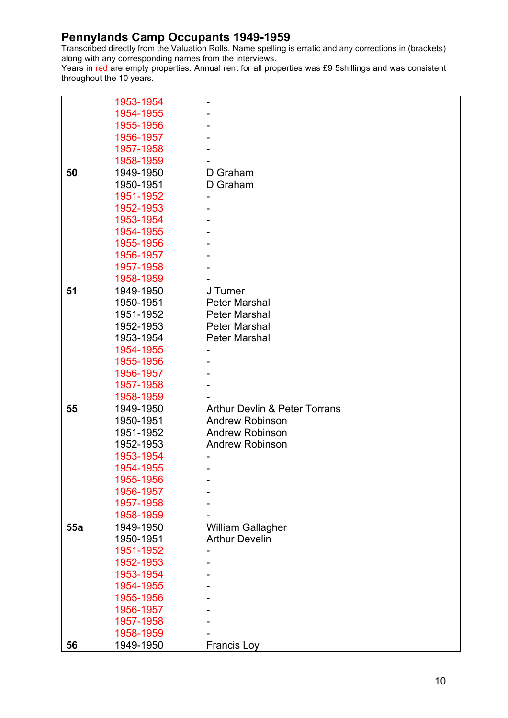Transcribed directly from the Valuation Rolls. Name spelling is erratic and any corrections in (brackets) along with any corresponding names from the interviews.

|     | 1953-1954 |                                          |
|-----|-----------|------------------------------------------|
|     | 1954-1955 |                                          |
|     | 1955-1956 |                                          |
|     | 1956-1957 |                                          |
|     | 1957-1958 |                                          |
|     | 1958-1959 |                                          |
| 50  | 1949-1950 | D Graham                                 |
|     | 1950-1951 | D Graham                                 |
|     | 1951-1952 |                                          |
|     | 1952-1953 |                                          |
|     | 1953-1954 |                                          |
|     | 1954-1955 |                                          |
|     | 1955-1956 |                                          |
|     | 1956-1957 |                                          |
|     | 1957-1958 |                                          |
|     | 1958-1959 |                                          |
| 51  | 1949-1950 | J Turner                                 |
|     | 1950-1951 | <b>Peter Marshal</b>                     |
|     | 1951-1952 | <b>Peter Marshal</b>                     |
|     | 1952-1953 | <b>Peter Marshal</b>                     |
|     | 1953-1954 | <b>Peter Marshal</b>                     |
|     | 1954-1955 |                                          |
|     | 1955-1956 |                                          |
|     | 1956-1957 |                                          |
|     | 1957-1958 |                                          |
|     | 1958-1959 |                                          |
| 55  | 1949-1950 | <b>Arthur Devlin &amp; Peter Torrans</b> |
|     | 1950-1951 | <b>Andrew Robinson</b>                   |
|     | 1951-1952 | <b>Andrew Robinson</b>                   |
|     | 1952-1953 | <b>Andrew Robinson</b>                   |
|     | 1953-1954 |                                          |
|     | 1954-1955 | ۰                                        |
|     | 1955-1956 |                                          |
|     | 1956-1957 |                                          |
|     | 1957-1958 |                                          |
|     | 1958-1959 |                                          |
| 55a | 1949-1950 | William Gallagher                        |
|     | 1950-1951 | <b>Arthur Develin</b>                    |
|     | 1951-1952 |                                          |
|     | 1952-1953 |                                          |
|     | 1953-1954 |                                          |
|     | 1954-1955 |                                          |
|     | 1955-1956 |                                          |
|     | 1956-1957 |                                          |
|     | 1957-1958 |                                          |
|     | 1958-1959 |                                          |
| 56  |           |                                          |
|     | 1949-1950 | <b>Francis Loy</b>                       |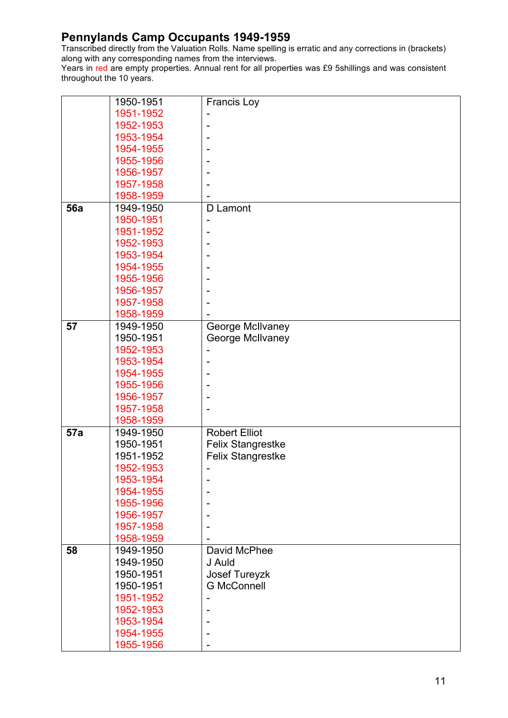Transcribed directly from the Valuation Rolls. Name spelling is erratic and any corrections in (brackets) along with any corresponding names from the interviews.

|            | 1950-1951 | <b>Francis Loy</b>       |
|------------|-----------|--------------------------|
|            | 1951-1952 |                          |
|            | 1952-1953 |                          |
|            | 1953-1954 | ۰                        |
|            | 1954-1955 |                          |
|            | 1955-1956 |                          |
|            | 1956-1957 |                          |
|            |           |                          |
|            | 1957-1958 |                          |
|            | 1958-1959 |                          |
| <b>56a</b> | 1949-1950 | D Lamont                 |
|            | 1950-1951 |                          |
|            | 1951-1952 |                          |
|            | 1952-1953 |                          |
|            | 1953-1954 |                          |
|            | 1954-1955 |                          |
|            | 1955-1956 |                          |
|            | 1956-1957 |                          |
|            | 1957-1958 |                          |
|            | 1958-1959 |                          |
| 57         | 1949-1950 | George McIlvaney         |
|            | 1950-1951 | George McIlvaney         |
|            | 1952-1953 |                          |
|            | 1953-1954 |                          |
|            | 1954-1955 |                          |
|            | 1955-1956 |                          |
|            | 1956-1957 |                          |
|            | 1957-1958 |                          |
|            |           |                          |
|            | 1958-1959 |                          |
| 57a        | 1949-1950 | <b>Robert Elliot</b>     |
|            | 1950-1951 | <b>Felix Stangrestke</b> |
|            | 1951-1952 | <b>Felix Stangrestke</b> |
|            | 1952-1953 |                          |
|            | 1953-1954 |                          |
|            | 1954-1955 |                          |
|            | 1955-1956 |                          |
|            | 1956-1957 |                          |
|            | 1957-1958 |                          |
|            | 1958-1959 |                          |
| 58         | 1949-1950 | David McPhee             |
|            | 1949-1950 | J Auld                   |
|            | 1950-1951 | <b>Josef Tureyzk</b>     |
|            | 1950-1951 | <b>G McConnell</b>       |
|            | 1951-1952 |                          |
|            | 1952-1953 |                          |
|            | 1953-1954 |                          |
|            | 1954-1955 |                          |
|            | 1955-1956 |                          |
|            |           |                          |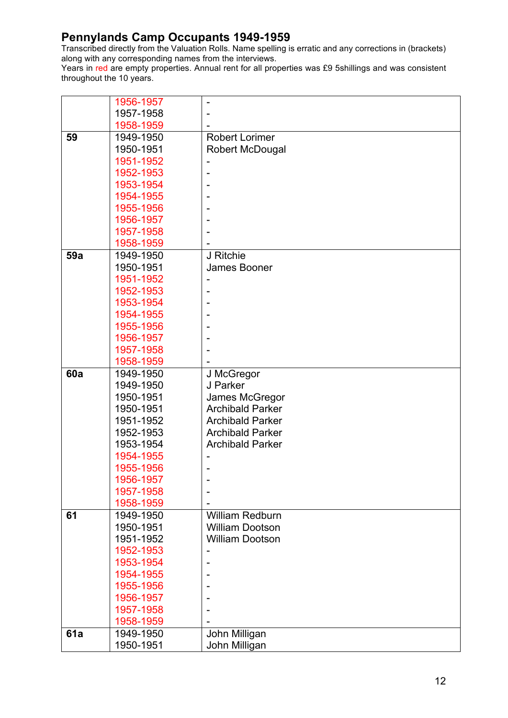Transcribed directly from the Valuation Rolls. Name spelling is erratic and any corrections in (brackets) along with any corresponding names from the interviews.

|            | 1956-1957 |                         |
|------------|-----------|-------------------------|
|            | 1957-1958 |                         |
|            | 1958-1959 |                         |
| 59         | 1949-1950 | <b>Robert Lorimer</b>   |
|            | 1950-1951 | <b>Robert McDougal</b>  |
|            | 1951-1952 |                         |
|            | 1952-1953 |                         |
|            | 1953-1954 |                         |
|            | 1954-1955 |                         |
|            | 1955-1956 |                         |
|            | 1956-1957 |                         |
|            | 1957-1958 |                         |
|            | 1958-1959 |                         |
| 59a        | 1949-1950 | J Ritchie               |
|            | 1950-1951 | James Booner            |
|            | 1951-1952 |                         |
|            | 1952-1953 |                         |
|            | 1953-1954 |                         |
|            | 1954-1955 |                         |
|            | 1955-1956 |                         |
|            | 1956-1957 |                         |
|            | 1957-1958 |                         |
|            | 1958-1959 |                         |
| <b>60a</b> | 1949-1950 | J McGregor              |
|            | 1949-1950 | J Parker                |
|            | 1950-1951 | James McGregor          |
|            | 1950-1951 | <b>Archibald Parker</b> |
|            | 1951-1952 | <b>Archibald Parker</b> |
|            | 1952-1953 | <b>Archibald Parker</b> |
|            | 1953-1954 | <b>Archibald Parker</b> |
|            | 1954-1955 |                         |
|            | 1955-1956 |                         |
|            | 1956-1957 |                         |
|            | 1957-1958 |                         |
|            | 1958-1959 |                         |
| 61         | 1949-1950 | <b>William Redburn</b>  |
|            | 1950-1951 | <b>William Dootson</b>  |
|            | 1951-1952 | <b>William Dootson</b>  |
|            | 1952-1953 |                         |
|            | 1953-1954 |                         |
|            | 1954-1955 |                         |
|            | 1955-1956 |                         |
|            | 1956-1957 |                         |
|            | 1957-1958 |                         |
|            | 1958-1959 |                         |
| 61a        | 1949-1950 | John Milligan           |
|            | 1950-1951 | John Milligan           |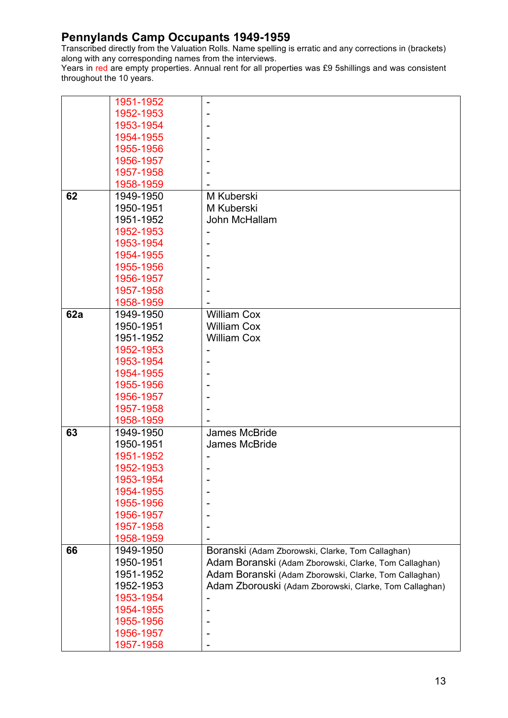Transcribed directly from the Valuation Rolls. Name spelling is erratic and any corrections in (brackets) along with any corresponding names from the interviews.

|     | 1951-1952 |                                                        |
|-----|-----------|--------------------------------------------------------|
|     | 1952-1953 |                                                        |
|     | 1953-1954 |                                                        |
|     | 1954-1955 |                                                        |
|     | 1955-1956 |                                                        |
|     | 1956-1957 |                                                        |
|     | 1957-1958 |                                                        |
|     | 1958-1959 |                                                        |
| 62  | 1949-1950 | M Kuberski                                             |
|     | 1950-1951 | M Kuberski                                             |
|     | 1951-1952 | John McHallam                                          |
|     | 1952-1953 |                                                        |
|     | 1953-1954 |                                                        |
|     | 1954-1955 |                                                        |
|     | 1955-1956 |                                                        |
|     | 1956-1957 |                                                        |
|     | 1957-1958 |                                                        |
|     | 1958-1959 |                                                        |
| 62a | 1949-1950 | <b>William Cox</b>                                     |
|     | 1950-1951 | <b>William Cox</b>                                     |
|     | 1951-1952 | <b>William Cox</b>                                     |
|     | 1952-1953 |                                                        |
|     | 1953-1954 |                                                        |
|     | 1954-1955 |                                                        |
|     | 1955-1956 |                                                        |
|     | 1956-1957 |                                                        |
|     | 1957-1958 |                                                        |
|     | 1958-1959 |                                                        |
| 63  | 1949-1950 | James McBride                                          |
|     | 1950-1951 | <b>James McBride</b>                                   |
|     | 1951-1952 |                                                        |
|     | 1952-1953 |                                                        |
|     | 1953-1954 |                                                        |
|     | 1954-1955 |                                                        |
|     | 1955-1956 |                                                        |
|     | 1956-1957 |                                                        |
|     | 1957-1958 |                                                        |
|     | 1958-1959 |                                                        |
| 66  | 1949-1950 | Boranski (Adam Zborowski, Clarke, Tom Callaghan)       |
|     | 1950-1951 | Adam Boranski (Adam Zborowski, Clarke, Tom Callaghan)  |
|     | 1951-1952 | Adam Boranski (Adam Zborowski, Clarke, Tom Callaghan)  |
|     | 1952-1953 | Adam Zborouski (Adam Zborowski, Clarke, Tom Callaghan) |
|     | 1953-1954 |                                                        |
|     | 1954-1955 |                                                        |
|     | 1955-1956 |                                                        |
|     | 1956-1957 |                                                        |
|     | 1957-1958 |                                                        |
|     |           |                                                        |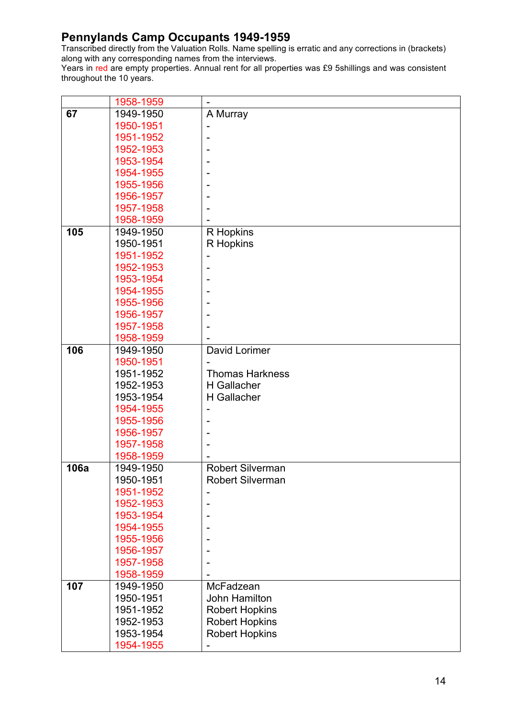Transcribed directly from the Valuation Rolls. Name spelling is erratic and any corrections in (brackets) along with any corresponding names from the interviews.

|      | 1958-1959 |                         |
|------|-----------|-------------------------|
| 67   | 1949-1950 | A Murray                |
|      | 1950-1951 |                         |
|      | 1951-1952 |                         |
|      | 1952-1953 |                         |
|      | 1953-1954 |                         |
|      | 1954-1955 |                         |
|      | 1955-1956 |                         |
|      | 1956-1957 |                         |
|      | 1957-1958 |                         |
|      | 1958-1959 |                         |
| 105  | 1949-1950 | R Hopkins               |
|      | 1950-1951 | R Hopkins               |
|      | 1951-1952 |                         |
|      | 1952-1953 |                         |
|      | 1953-1954 |                         |
|      | 1954-1955 |                         |
|      | 1955-1956 |                         |
|      | 1956-1957 |                         |
|      | 1957-1958 |                         |
|      | 1958-1959 |                         |
| 106  | 1949-1950 | David Lorimer           |
|      | 1950-1951 |                         |
|      | 1951-1952 | <b>Thomas Harkness</b>  |
|      | 1952-1953 | H Gallacher             |
|      | 1953-1954 | H Gallacher             |
|      | 1954-1955 |                         |
|      | 1955-1956 |                         |
|      | 1956-1957 |                         |
|      | 1957-1958 |                         |
|      | 1958-1959 |                         |
| 106a | 1949-1950 | <b>Robert Silverman</b> |
|      | 1950-1951 | <b>Robert Silverman</b> |
|      | 1951-1952 |                         |
|      | 1952-1953 |                         |
|      | 1953-1954 |                         |
|      | 1954-1955 |                         |
|      | 1955-1956 |                         |
|      | 1956-1957 |                         |
|      | 1957-1958 |                         |
|      | 1958-1959 |                         |
| 107  | 1949-1950 | McFadzean               |
|      | 1950-1951 | <b>John Hamilton</b>    |
|      | 1951-1952 | <b>Robert Hopkins</b>   |
|      | 1952-1953 | <b>Robert Hopkins</b>   |
|      | 1953-1954 | <b>Robert Hopkins</b>   |
|      | 1954-1955 |                         |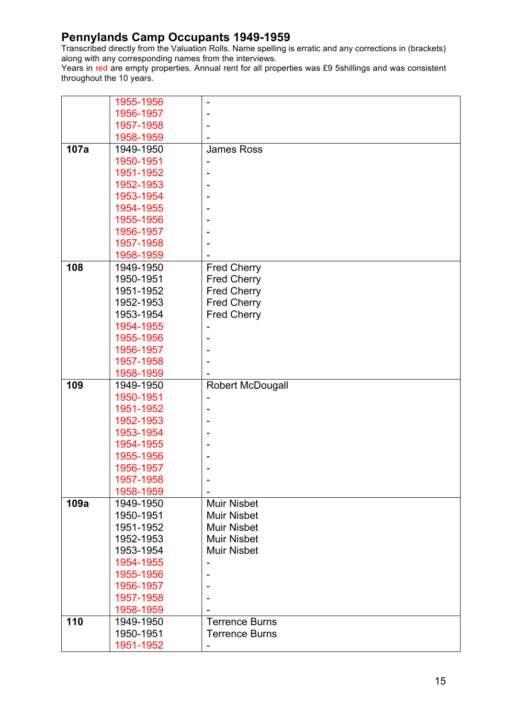Transcribed directly from the Valuation Rolls. Name spelling is erratic and any corrections in (brackets) along with any corresponding names from the interviews.

|      | 1955-1956 | $\overline{\phantom{0}}$ |
|------|-----------|--------------------------|
|      | 1956-1957 |                          |
|      | 1957-1958 |                          |
|      | 1958-1959 |                          |
| 107a | 1949-1950 | <b>James Ross</b>        |
|      | 1950-1951 |                          |
|      | 1951-1952 |                          |
|      | 1952-1953 |                          |
|      | 1953-1954 |                          |
|      | 1954-1955 |                          |
|      | 1955-1956 |                          |
|      | 1956-1957 |                          |
|      | 1957-1958 |                          |
|      | 1958-1959 |                          |
| 108  | 1949-1950 | <b>Fred Cherry</b>       |
|      | 1950-1951 | <b>Fred Cherry</b>       |
|      | 1951-1952 | <b>Fred Cherry</b>       |
|      | 1952-1953 | <b>Fred Cherry</b>       |
|      | 1953-1954 | <b>Fred Cherry</b>       |
|      | 1954-1955 |                          |
|      | 1955-1956 |                          |
|      | 1956-1957 |                          |
|      | 1957-1958 |                          |
|      | 1958-1959 |                          |
|      |           |                          |
| 109  | 1949-1950 | <b>Robert McDougall</b>  |
|      | 1950-1951 |                          |
|      | 1951-1952 |                          |
|      | 1952-1953 |                          |
|      | 1953-1954 |                          |
|      | 1954-1955 |                          |
|      | 1955-1956 |                          |
|      | 1956-1957 |                          |
|      | 1957-1958 |                          |
|      | 1958-1959 |                          |
| 109a | 1949-1950 | <b>Muir Nisbet</b>       |
|      | 1950-1951 | <b>Muir Nisbet</b>       |
|      | 1951-1952 | <b>Muir Nisbet</b>       |
|      | 1952-1953 | <b>Muir Nisbet</b>       |
|      | 1953-1954 | <b>Muir Nisbet</b>       |
|      | 1954-1955 | ٠                        |
|      | 1955-1956 |                          |
|      | 1956-1957 |                          |
|      | 1957-1958 |                          |
|      | 1958-1959 |                          |
| 110  | 1949-1950 | <b>Terrence Burns</b>    |
|      | 1950-1951 | <b>Terrence Burns</b>    |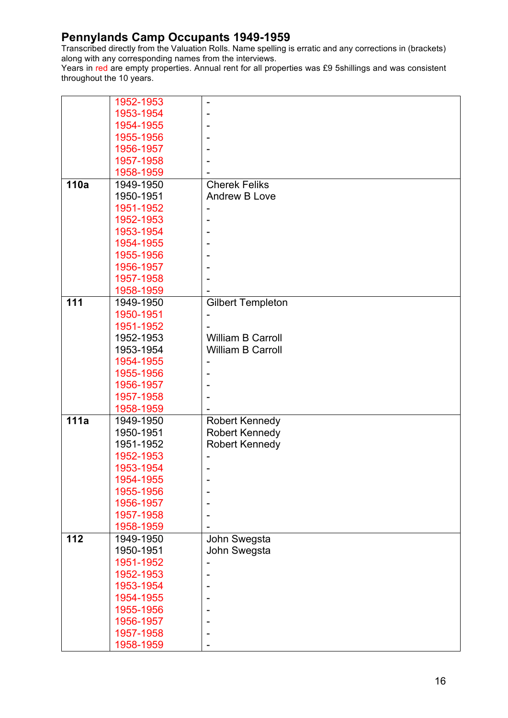Transcribed directly from the Valuation Rolls. Name spelling is erratic and any corrections in (brackets) along with any corresponding names from the interviews.

|      | 1952-1953 | $\overline{a}$           |
|------|-----------|--------------------------|
|      | 1953-1954 |                          |
|      | 1954-1955 |                          |
|      | 1955-1956 |                          |
|      | 1956-1957 |                          |
|      | 1957-1958 |                          |
|      | 1958-1959 |                          |
| 110a | 1949-1950 | <b>Cherek Feliks</b>     |
|      | 1950-1951 | Andrew B Love            |
|      | 1951-1952 |                          |
|      | 1952-1953 |                          |
|      | 1953-1954 |                          |
|      | 1954-1955 |                          |
|      | 1955-1956 |                          |
|      | 1956-1957 |                          |
|      | 1957-1958 |                          |
|      | 1958-1959 |                          |
| 111  | 1949-1950 | <b>Gilbert Templeton</b> |
|      | 1950-1951 |                          |
|      | 1951-1952 |                          |
|      | 1952-1953 | <b>William B Carroll</b> |
|      | 1953-1954 | <b>William B Carroll</b> |
|      | 1954-1955 |                          |
|      | 1955-1956 |                          |
|      | 1956-1957 |                          |
|      |           |                          |
|      | 1957-1958 |                          |
| 111a | 1958-1959 |                          |
|      | 1949-1950 | <b>Robert Kennedy</b>    |
|      | 1950-1951 | <b>Robert Kennedy</b>    |
|      | 1951-1952 | <b>Robert Kennedy</b>    |
|      | 1952-1953 |                          |
|      | 1953-1954 |                          |
|      | 1954-1955 |                          |
|      | 1955-1956 | $\overline{a}$           |
|      | 1956-1957 |                          |
|      | 1957-1958 |                          |
| 112  | 1958-1959 |                          |
|      | 1949-1950 | John Swegsta             |
|      | 1950-1951 | John Swegsta             |
|      | 1951-1952 |                          |
|      | 1952-1953 |                          |
|      | 1953-1954 |                          |
|      | 1954-1955 |                          |
|      | 1955-1956 |                          |
|      | 1956-1957 |                          |
|      | 1957-1958 |                          |
|      | 1958-1959 |                          |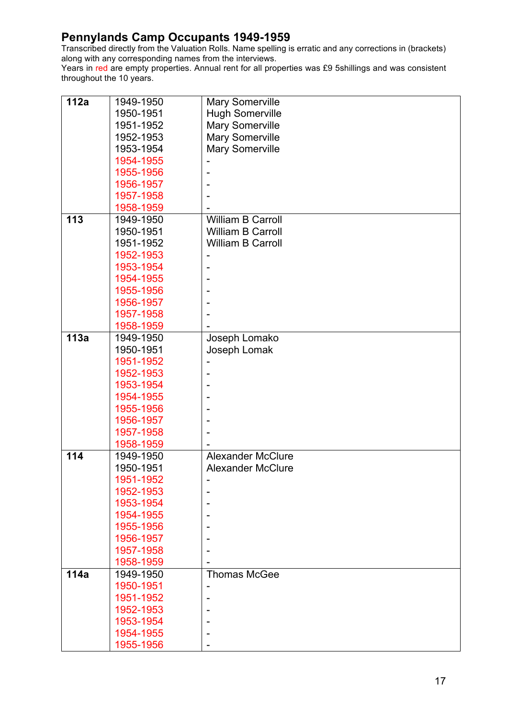Transcribed directly from the Valuation Rolls. Name spelling is erratic and any corrections in (brackets) along with any corresponding names from the interviews.

| 112a | 1949-1950 | <b>Mary Somerville</b>   |
|------|-----------|--------------------------|
|      | 1950-1951 | <b>Hugh Somerville</b>   |
|      | 1951-1952 | <b>Mary Somerville</b>   |
|      | 1952-1953 | <b>Mary Somerville</b>   |
|      | 1953-1954 | <b>Mary Somerville</b>   |
|      | 1954-1955 |                          |
|      | 1955-1956 | ۰                        |
|      | 1956-1957 |                          |
|      | 1957-1958 |                          |
|      |           |                          |
| 113  | 1958-1959 | William B Carroll        |
|      | 1949-1950 |                          |
|      | 1950-1951 | <b>William B Carroll</b> |
|      | 1951-1952 | <b>William B Carroll</b> |
|      | 1952-1953 |                          |
|      | 1953-1954 |                          |
|      | 1954-1955 |                          |
|      | 1955-1956 |                          |
|      | 1956-1957 |                          |
|      | 1957-1958 |                          |
|      | 1958-1959 |                          |
| 113a | 1949-1950 | Joseph Lomako            |
|      | 1950-1951 | Joseph Lomak             |
|      | 1951-1952 |                          |
|      | 1952-1953 |                          |
|      | 1953-1954 |                          |
|      | 1954-1955 |                          |
|      | 1955-1956 |                          |
|      | 1956-1957 |                          |
|      | 1957-1958 |                          |
|      | 1958-1959 |                          |
| 114  | 1949-1950 | <b>Alexander McClure</b> |
|      | 1950-1951 | <b>Alexander McClure</b> |
|      | 1951-1952 |                          |
|      | 1952-1953 |                          |
|      | 1953-1954 |                          |
|      | 1954-1955 |                          |
|      | 1955-1956 |                          |
|      | 1956-1957 |                          |
|      | 1957-1958 |                          |
|      | 1958-1959 |                          |
| 114a | 1949-1950 | <b>Thomas McGee</b>      |
|      | 1950-1951 |                          |
|      | 1951-1952 | ۰                        |
|      | 1952-1953 |                          |
|      | 1953-1954 |                          |
|      | 1954-1955 |                          |
|      | 1955-1956 |                          |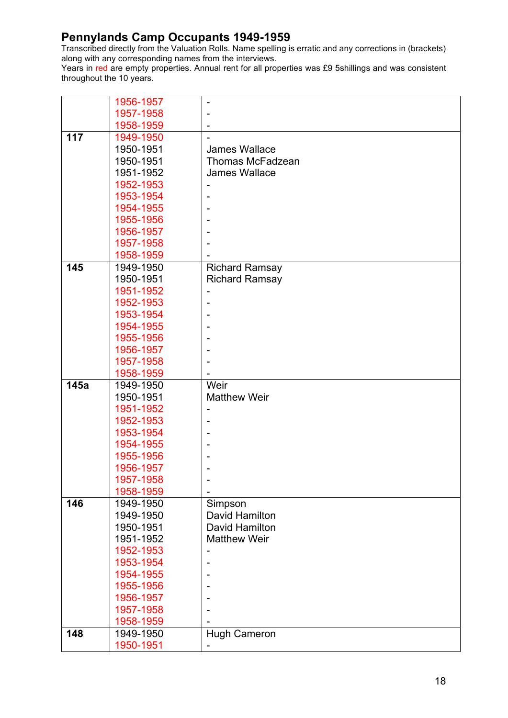Transcribed directly from the Valuation Rolls. Name spelling is erratic and any corrections in (brackets) along with any corresponding names from the interviews.

|      | 1956-1957              |                         |
|------|------------------------|-------------------------|
|      | 1957-1958              |                         |
|      | 1958-1959              |                         |
| 117  | 1949-1950              |                         |
|      | 1950-1951              | James Wallace           |
|      | 1950-1951              | <b>Thomas McFadzean</b> |
|      | 1951-1952              | <b>James Wallace</b>    |
|      | 1952-1953              |                         |
|      | 1953-1954              |                         |
|      | 1954-1955              |                         |
|      | 1955-1956              |                         |
|      | 1956-1957              |                         |
|      | 1957-1958              |                         |
|      | 1958-1959              |                         |
| 145  | 1949-1950              | <b>Richard Ramsay</b>   |
|      | 1950-1951              | <b>Richard Ramsay</b>   |
|      | 1951-1952              |                         |
|      | 1952-1953              |                         |
|      | 1953-1954              |                         |
|      | 1954-1955              |                         |
|      | 1955-1956              |                         |
|      | 1956-1957              |                         |
|      | 1957-1958              |                         |
|      | 1958-1959              |                         |
| 145a | 1949-1950              | Weir                    |
|      | 1950-1951              | <b>Matthew Weir</b>     |
|      | 1951-1952              |                         |
|      | 1952-1953              |                         |
|      | 1953-1954              |                         |
|      | 1954-1955              |                         |
|      | 1955-1956              |                         |
|      | 1956-1957              |                         |
|      | 1957-1958              |                         |
|      | 1958-1959              |                         |
| 146  | 1949-1950              | Simpson                 |
|      | 1949-1950              | David Hamilton          |
|      | 1950-1951              | David Hamilton          |
|      | 1951-1952              | <b>Matthew Weir</b>     |
|      | 1952-1953              |                         |
|      | 1953-1954              |                         |
|      | 1954-1955              |                         |
|      | 1955-1956              |                         |
|      | 1956-1957              |                         |
|      | 1957-1958              |                         |
|      | 1958-1959              |                         |
| 148  |                        |                         |
|      | 1949-1950<br>1950-1951 | Hugh Cameron            |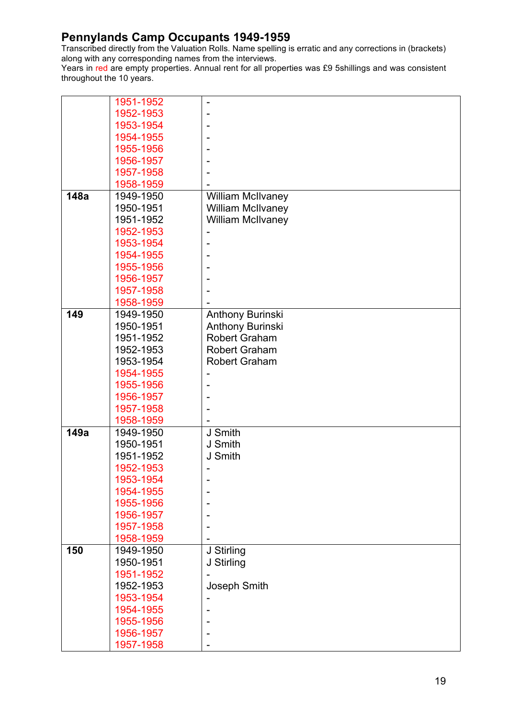Transcribed directly from the Valuation Rolls. Name spelling is erratic and any corrections in (brackets) along with any corresponding names from the interviews.

|      | 1951-1952 |                          |
|------|-----------|--------------------------|
|      | 1952-1953 |                          |
|      | 1953-1954 |                          |
|      | 1954-1955 |                          |
|      | 1955-1956 |                          |
|      | 1956-1957 |                          |
|      | 1957-1958 |                          |
|      | 1958-1959 |                          |
| 148a | 1949-1950 | <b>William McIlvaney</b> |
|      | 1950-1951 | <b>William McIlvaney</b> |
|      | 1951-1952 | <b>William McIlvaney</b> |
|      |           |                          |
|      | 1952-1953 | ۰                        |
|      | 1953-1954 |                          |
|      | 1954-1955 |                          |
|      | 1955-1956 |                          |
|      | 1956-1957 |                          |
|      | 1957-1958 |                          |
|      | 1958-1959 |                          |
| 149  | 1949-1950 | Anthony Burinski         |
|      | 1950-1951 | Anthony Burinski         |
|      | 1951-1952 | <b>Robert Graham</b>     |
|      | 1952-1953 | <b>Robert Graham</b>     |
|      | 1953-1954 | <b>Robert Graham</b>     |
|      | 1954-1955 |                          |
|      | 1955-1956 | ۰                        |
|      | 1956-1957 |                          |
|      | 1957-1958 |                          |
|      | 1958-1959 |                          |
| 149a | 1949-1950 | J Smith                  |
|      | 1950-1951 | J Smith                  |
|      | 1951-1952 | J Smith                  |
|      | 1952-1953 |                          |
|      | 1953-1954 |                          |
|      | 1954-1955 |                          |
|      | 1955-1956 |                          |
|      | 1956-1957 |                          |
|      | 1957-1958 |                          |
|      | 1958-1959 |                          |
| 150  | 1949-1950 | J Stirling               |
|      | 1950-1951 | J Stirling               |
|      | 1951-1952 | ۰                        |
|      | 1952-1953 | Joseph Smith             |
|      | 1953-1954 |                          |
|      | 1954-1955 |                          |
|      | 1955-1956 |                          |
|      | 1956-1957 |                          |
|      | 1957-1958 |                          |
|      |           |                          |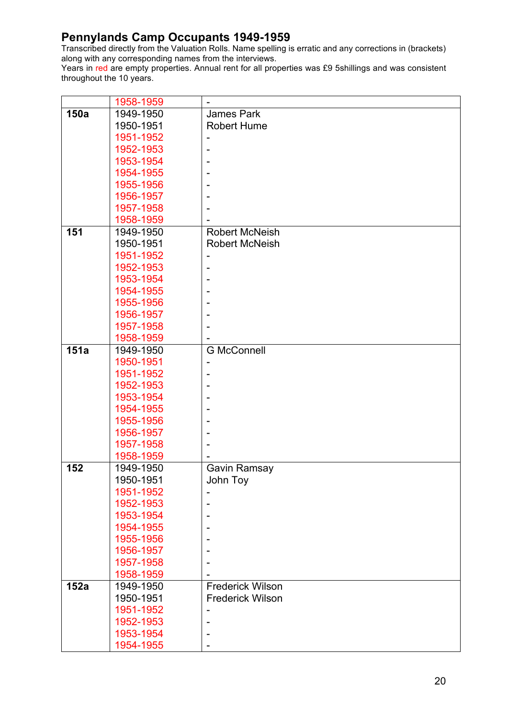Transcribed directly from the Valuation Rolls. Name spelling is erratic and any corrections in (brackets) along with any corresponding names from the interviews.

|      | 1958-1959 | $\overline{\phantom{a}}$ |
|------|-----------|--------------------------|
| 150a | 1949-1950 | <b>James Park</b>        |
|      | 1950-1951 | <b>Robert Hume</b>       |
|      | 1951-1952 | $\overline{\phantom{a}}$ |
|      | 1952-1953 |                          |
|      | 1953-1954 |                          |
|      | 1954-1955 |                          |
|      | 1955-1956 |                          |
|      | 1956-1957 |                          |
|      | 1957-1958 |                          |
|      | 1958-1959 |                          |
| 151  | 1949-1950 | <b>Robert McNeish</b>    |
|      | 1950-1951 | <b>Robert McNeish</b>    |
|      | 1951-1952 | $\overline{\phantom{a}}$ |
|      | 1952-1953 | $\overline{\phantom{a}}$ |
|      | 1953-1954 |                          |
|      | 1954-1955 |                          |
|      | 1955-1956 |                          |
|      | 1956-1957 |                          |
|      | 1957-1958 |                          |
|      | 1958-1959 |                          |
| 151a | 1949-1950 | <b>G McConnell</b>       |
|      | 1950-1951 |                          |
|      | 1951-1952 |                          |
|      | 1952-1953 |                          |
|      | 1953-1954 |                          |
|      | 1954-1955 |                          |
|      | 1955-1956 |                          |
|      | 1956-1957 |                          |
|      | 1957-1958 |                          |
|      | 1958-1959 |                          |
| 152  | 1949-1950 | Gavin Ramsay             |
|      | 1950-1951 | John Toy                 |
|      | 1951-1952 | ۰                        |
|      | 1952-1953 |                          |
|      | 1953-1954 |                          |
|      | 1954-1955 |                          |
|      | 1955-1956 |                          |
|      | 1956-1957 |                          |
|      | 1957-1958 |                          |
|      | 1958-1959 |                          |
| 152a | 1949-1950 | <b>Frederick Wilson</b>  |
|      | 1950-1951 | <b>Frederick Wilson</b>  |
|      | 1951-1952 |                          |
|      | 1952-1953 |                          |
|      | 1953-1954 |                          |
|      | 1954-1955 |                          |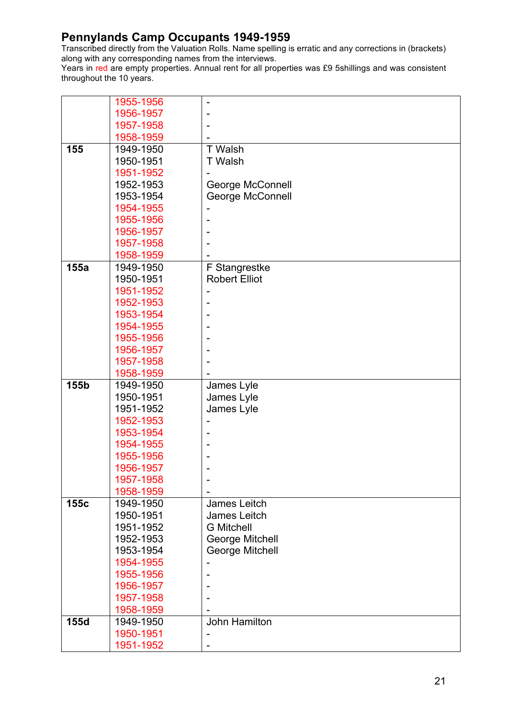Transcribed directly from the Valuation Rolls. Name spelling is erratic and any corrections in (brackets) along with any corresponding names from the interviews.

|      | 1955-1956 |                         |
|------|-----------|-------------------------|
|      | 1956-1957 |                         |
|      | 1957-1958 |                         |
|      | 1958-1959 |                         |
| 155  | 1949-1950 | T Walsh                 |
|      | 1950-1951 | <b>T</b> Walsh          |
|      | 1951-1952 |                         |
|      | 1952-1953 | <b>George McConnell</b> |
|      | 1953-1954 | <b>George McConnell</b> |
|      | 1954-1955 |                         |
|      | 1955-1956 |                         |
|      | 1956-1957 |                         |
|      | 1957-1958 |                         |
|      | 1958-1959 |                         |
| 155a | 1949-1950 | F Stangrestke           |
|      | 1950-1951 | <b>Robert Elliot</b>    |
|      | 1951-1952 |                         |
|      | 1952-1953 |                         |
|      | 1953-1954 |                         |
|      | 1954-1955 |                         |
|      | 1955-1956 |                         |
|      | 1956-1957 |                         |
|      | 1957-1958 |                         |
|      | 1958-1959 |                         |
| 155b | 1949-1950 | James Lyle              |
|      | 1950-1951 | James Lyle              |
|      | 1951-1952 | James Lyle              |
|      | 1952-1953 |                         |
|      | 1953-1954 |                         |
|      | 1954-1955 |                         |
|      | 1955-1956 |                         |
|      | 1956-1957 |                         |
|      | 1957-1958 |                         |
|      | 1958-1959 |                         |
| 155c | 1949-1950 | James Leitch            |
|      | 1950-1951 | James Leitch            |
|      | 1951-1952 | <b>G</b> Mitchell       |
|      | 1952-1953 | George Mitchell         |
|      | 1953-1954 | <b>George Mitchell</b>  |
|      | 1954-1955 |                         |
|      | 1955-1956 |                         |
|      | 1956-1957 |                         |
|      | 1957-1958 |                         |
|      | 1958-1959 |                         |
| 155d | 1949-1950 | <b>John Hamilton</b>    |
|      | 1950-1951 |                         |
|      | 1951-1952 |                         |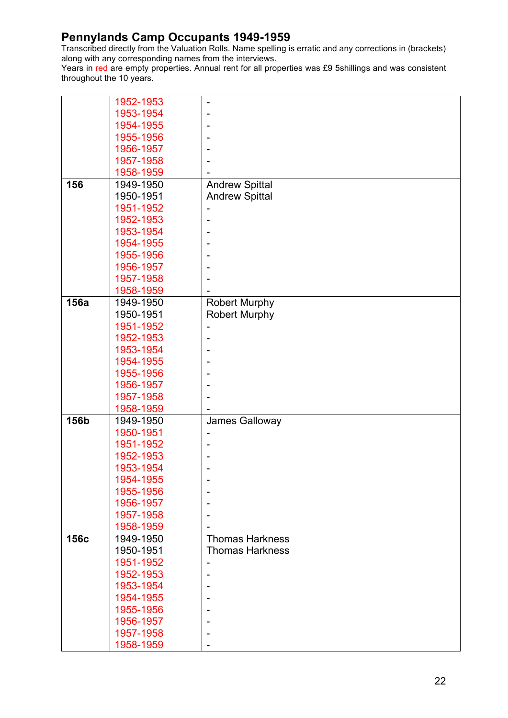Transcribed directly from the Valuation Rolls. Name spelling is erratic and any corrections in (brackets) along with any corresponding names from the interviews.

|      | 1952-1953 | $\overline{a}$         |
|------|-----------|------------------------|
|      | 1953-1954 |                        |
|      | 1954-1955 |                        |
|      | 1955-1956 |                        |
|      | 1956-1957 |                        |
|      | 1957-1958 |                        |
|      | 1958-1959 |                        |
| 156  | 1949-1950 | <b>Andrew Spittal</b>  |
|      | 1950-1951 | <b>Andrew Spittal</b>  |
|      | 1951-1952 |                        |
|      | 1952-1953 |                        |
|      | 1953-1954 |                        |
|      | 1954-1955 |                        |
|      | 1955-1956 |                        |
|      | 1956-1957 |                        |
|      | 1957-1958 |                        |
|      | 1958-1959 |                        |
| 156a | 1949-1950 | <b>Robert Murphy</b>   |
|      | 1950-1951 | <b>Robert Murphy</b>   |
|      | 1951-1952 |                        |
|      | 1952-1953 | ۰                      |
|      | 1953-1954 |                        |
|      | 1954-1955 |                        |
|      | 1955-1956 |                        |
|      | 1956-1957 |                        |
|      | 1957-1958 |                        |
|      | 1958-1959 |                        |
| 156b | 1949-1950 | James Galloway         |
|      | 1950-1951 |                        |
|      | 1951-1952 |                        |
|      | 1952-1953 |                        |
|      | 1953-1954 |                        |
|      | 1954-1955 |                        |
|      | 1955-1956 | $\overline{a}$         |
|      | 1956-1957 |                        |
|      | 1957-1958 |                        |
|      | 1958-1959 |                        |
| 156c | 1949-1950 | <b>Thomas Harkness</b> |
|      | 1950-1951 | <b>Thomas Harkness</b> |
|      | 1951-1952 | ۰                      |
|      | 1952-1953 |                        |
|      | 1953-1954 |                        |
|      | 1954-1955 |                        |
|      | 1955-1956 |                        |
|      |           |                        |
|      | 1956-1957 |                        |
|      | 1957-1958 |                        |
|      | 1958-1959 |                        |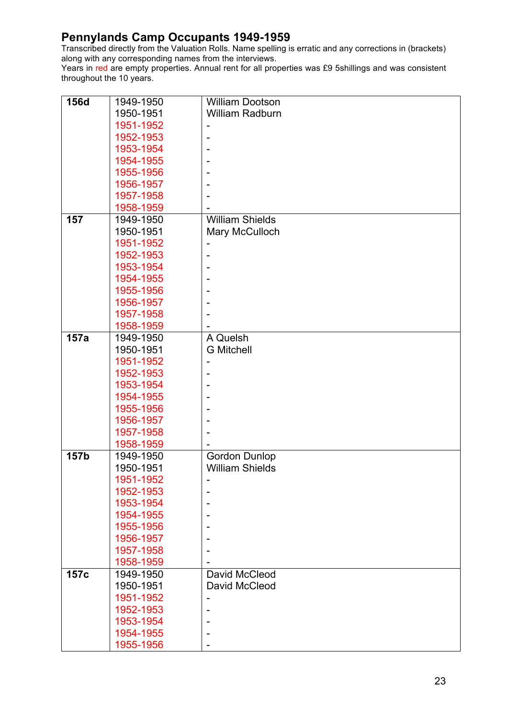Transcribed directly from the Valuation Rolls. Name spelling is erratic and any corrections in (brackets) along with any corresponding names from the interviews.

| 156d | 1949-1950 | <b>William Dootson</b> |
|------|-----------|------------------------|
|      | 1950-1951 | <b>William Radburn</b> |
|      | 1951-1952 |                        |
|      | 1952-1953 | $\overline{a}$         |
|      | 1953-1954 |                        |
|      | 1954-1955 |                        |
|      | 1955-1956 |                        |
|      | 1956-1957 |                        |
|      | 1957-1958 |                        |
|      | 1958-1959 |                        |
| 157  | 1949-1950 | <b>William Shields</b> |
|      | 1950-1951 | Mary McCulloch         |
|      | 1951-1952 |                        |
|      | 1952-1953 |                        |
|      | 1953-1954 |                        |
|      | 1954-1955 |                        |
|      | 1955-1956 |                        |
|      | 1956-1957 |                        |
|      | 1957-1958 |                        |
|      | 1958-1959 |                        |
| 157a | 1949-1950 | A Quelsh               |
|      | 1950-1951 | <b>G</b> Mitchell      |
|      | 1951-1952 | -                      |
|      | 1952-1953 |                        |
|      | 1953-1954 |                        |
|      | 1954-1955 |                        |
|      | 1955-1956 |                        |
|      | 1956-1957 |                        |
|      | 1957-1958 |                        |
|      | 1958-1959 |                        |
| 157b | 1949-1950 | <b>Gordon Dunlop</b>   |
|      | 1950-1951 | <b>William Shields</b> |
|      | 1951-1952 |                        |
|      | 1952-1953 |                        |
|      | 1953-1954 |                        |
|      | 1954-1955 |                        |
|      | 1955-1956 |                        |
|      | 1956-1957 |                        |
|      | 1957-1958 |                        |
|      | 1958-1959 |                        |
| 157c | 1949-1950 | David McCleod          |
|      | 1950-1951 | David McCleod          |
|      | 1951-1952 | Ē,                     |
|      | 1952-1953 |                        |
|      | 1953-1954 |                        |
|      | 1954-1955 |                        |
|      | 1955-1956 |                        |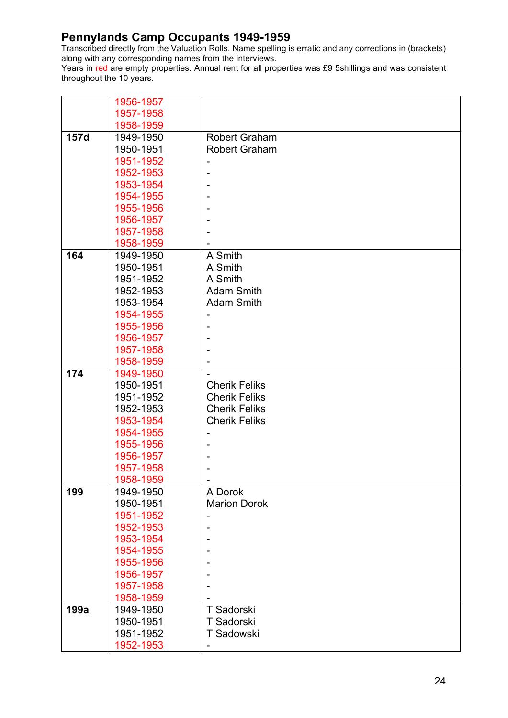Transcribed directly from the Valuation Rolls. Name spelling is erratic and any corrections in (brackets) along with any corresponding names from the interviews.

|      | 1956-1957 |                      |
|------|-----------|----------------------|
|      | 1957-1958 |                      |
|      | 1958-1959 |                      |
| 157d | 1949-1950 | <b>Robert Graham</b> |
|      | 1950-1951 | <b>Robert Graham</b> |
|      | 1951-1952 |                      |
|      | 1952-1953 |                      |
|      | 1953-1954 |                      |
|      | 1954-1955 |                      |
|      | 1955-1956 |                      |
|      | 1956-1957 |                      |
|      | 1957-1958 |                      |
|      | 1958-1959 |                      |
| 164  | 1949-1950 | A Smith              |
|      | 1950-1951 | A Smith              |
|      | 1951-1952 | A Smith              |
|      | 1952-1953 | <b>Adam Smith</b>    |
|      | 1953-1954 | <b>Adam Smith</b>    |
|      | 1954-1955 |                      |
|      | 1955-1956 |                      |
|      | 1956-1957 |                      |
|      | 1957-1958 |                      |
|      | 1958-1959 |                      |
| 174  | 1949-1950 |                      |
|      | 1950-1951 | <b>Cherik Feliks</b> |
|      | 1951-1952 | <b>Cherik Feliks</b> |
|      | 1952-1953 | <b>Cherik Feliks</b> |
|      | 1953-1954 | <b>Cherik Feliks</b> |
|      | 1954-1955 |                      |
|      |           |                      |
|      | 1955-1956 |                      |
|      | 1956-1957 |                      |
|      | 1957-1958 |                      |
|      | 1958-1959 |                      |
| 199  | 1949-1950 | A Dorok              |
|      | 1950-1951 | <b>Marion Dorok</b>  |
|      | 1951-1952 |                      |
|      | 1952-1953 |                      |
|      | 1953-1954 |                      |
|      | 1954-1955 |                      |
|      | 1955-1956 |                      |
|      | 1956-1957 |                      |
|      | 1957-1958 |                      |
|      | 1958-1959 |                      |
| 199a | 1949-1950 | T Sadorski           |
|      | 1950-1951 | T Sadorski           |
|      | 1951-1952 | T Sadowski           |
|      | 1952-1953 | -                    |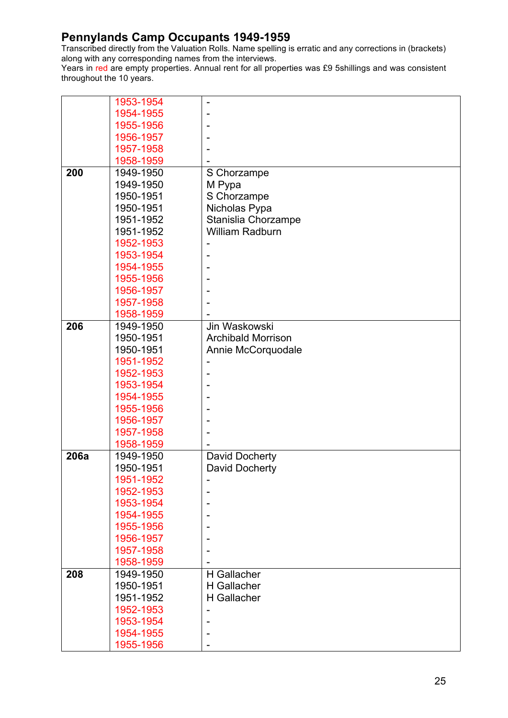Transcribed directly from the Valuation Rolls. Name spelling is erratic and any corrections in (brackets) along with any corresponding names from the interviews.

|      | 1953-1954 | ۰                         |
|------|-----------|---------------------------|
|      | 1954-1955 |                           |
|      | 1955-1956 |                           |
|      | 1956-1957 |                           |
|      | 1957-1958 |                           |
|      | 1958-1959 |                           |
| 200  | 1949-1950 | S Chorzampe               |
|      | 1949-1950 | M Pypa                    |
|      | 1950-1951 | S Chorzampe               |
|      | 1950-1951 | Nicholas Pypa             |
|      | 1951-1952 | Stanislia Chorzampe       |
|      | 1951-1952 | <b>William Radburn</b>    |
|      | 1952-1953 |                           |
|      | 1953-1954 |                           |
|      | 1954-1955 |                           |
|      | 1955-1956 |                           |
|      | 1956-1957 |                           |
|      | 1957-1958 |                           |
|      | 1958-1959 |                           |
| 206  | 1949-1950 | Jin Waskowski             |
|      | 1950-1951 | <b>Archibald Morrison</b> |
|      | 1950-1951 | Annie McCorquodale        |
|      | 1951-1952 |                           |
|      | 1952-1953 | ۰                         |
|      | 1953-1954 |                           |
|      | 1954-1955 |                           |
|      | 1955-1956 |                           |
|      | 1956-1957 |                           |
|      | 1957-1958 |                           |
|      | 1958-1959 |                           |
| 206a | 1949-1950 | David Docherty            |
|      | 1950-1951 | David Docherty            |
|      | 1951-1952 |                           |
|      | 1952-1953 |                           |
|      | 1953-1954 |                           |
|      | 1954-1955 |                           |
|      | 1955-1956 |                           |
|      | 1956-1957 |                           |
|      | 1957-1958 |                           |
|      | 1958-1959 |                           |
| 208  | 1949-1950 | H Gallacher               |
|      | 1950-1951 | H Gallacher               |
|      | 1951-1952 | H Gallacher               |
|      | 1952-1953 | $\overline{a}$            |
|      | 1953-1954 |                           |
|      | 1954-1955 |                           |
|      | 1955-1956 |                           |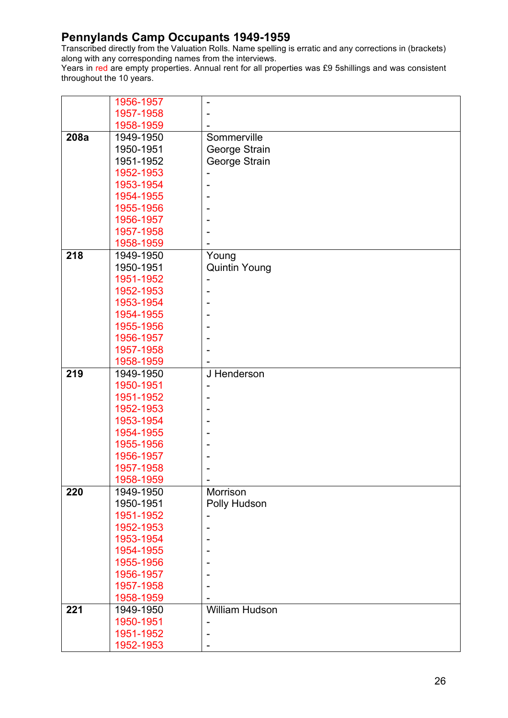Transcribed directly from the Valuation Rolls. Name spelling is erratic and any corrections in (brackets) along with any corresponding names from the interviews.

|      | 1956-1957 |                      |
|------|-----------|----------------------|
|      | 1957-1958 |                      |
|      | 1958-1959 |                      |
| 208a | 1949-1950 | Sommerville          |
|      | 1950-1951 | George Strain        |
|      | 1951-1952 | George Strain        |
|      | 1952-1953 |                      |
|      | 1953-1954 |                      |
|      | 1954-1955 |                      |
|      | 1955-1956 |                      |
|      | 1956-1957 |                      |
|      | 1957-1958 |                      |
|      | 1958-1959 |                      |
| 218  | 1949-1950 | Young                |
|      | 1950-1951 | <b>Quintin Young</b> |
|      | 1951-1952 |                      |
|      | 1952-1953 |                      |
|      | 1953-1954 |                      |
|      | 1954-1955 |                      |
|      | 1955-1956 |                      |
|      | 1956-1957 |                      |
|      | 1957-1958 |                      |
|      | 1958-1959 |                      |
| 219  | 1949-1950 | J Henderson          |
|      | 1950-1951 |                      |
|      | 1951-1952 |                      |
|      | 1952-1953 |                      |
|      | 1953-1954 |                      |
|      | 1954-1955 |                      |
|      | 1955-1956 |                      |
|      | 1956-1957 |                      |
|      | 1957-1958 |                      |
|      | 1958-1959 |                      |
| 220  | 1949-1950 | Morrison             |
|      | 1950-1951 | Polly Hudson         |
|      | 1951-1952 |                      |
|      | 1952-1953 |                      |
|      | 1953-1954 |                      |
|      | 1954-1955 |                      |
|      | 1955-1956 |                      |
|      | 1956-1957 |                      |
|      | 1957-1958 |                      |
|      | 1958-1959 |                      |
| 221  | 1949-1950 | William Hudson       |
|      | 1950-1951 |                      |
|      | 1951-1952 |                      |
|      | 1952-1953 |                      |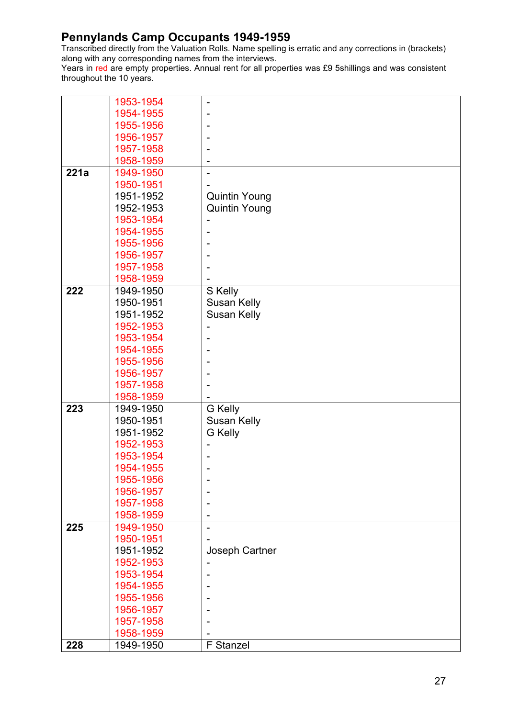Transcribed directly from the Valuation Rolls. Name spelling is erratic and any corrections in (brackets) along with any corresponding names from the interviews.

|      | 1953-1954 |                      |
|------|-----------|----------------------|
|      | 1954-1955 |                      |
|      | 1955-1956 |                      |
|      | 1956-1957 |                      |
|      | 1957-1958 |                      |
|      | 1958-1959 |                      |
| 221a | 1949-1950 |                      |
|      | 1950-1951 |                      |
|      | 1951-1952 | <b>Quintin Young</b> |
|      | 1952-1953 | <b>Quintin Young</b> |
|      | 1953-1954 |                      |
|      | 1954-1955 |                      |
|      | 1955-1956 |                      |
|      | 1956-1957 |                      |
|      | 1957-1958 |                      |
|      | 1958-1959 |                      |
| 222  | 1949-1950 | S Kelly              |
|      | 1950-1951 | <b>Susan Kelly</b>   |
|      | 1951-1952 | <b>Susan Kelly</b>   |
|      | 1952-1953 |                      |
|      | 1953-1954 |                      |
|      | 1954-1955 |                      |
|      | 1955-1956 |                      |
|      | 1956-1957 |                      |
|      | 1957-1958 |                      |
|      | 1958-1959 |                      |
| 223  | 1949-1950 | <b>G</b> Kelly       |
|      | 1950-1951 | Susan Kelly          |
|      | 1951-1952 | <b>G</b> Kelly       |
|      | 1952-1953 |                      |
|      | 1953-1954 |                      |
|      | 1954-1955 |                      |
|      | 1955-1956 |                      |
|      | 1956-1957 |                      |
|      | 1957-1958 |                      |
|      | 1958-1959 |                      |
| 225  | 1949-1950 |                      |
|      | 1950-1951 |                      |
|      | 1951-1952 | Joseph Cartner       |
|      | 1952-1953 |                      |
|      | 1953-1954 |                      |
|      | 1954-1955 |                      |
|      | 1955-1956 |                      |
|      | 1956-1957 |                      |
|      | 1957-1958 |                      |
|      | 1958-1959 |                      |
| 228  | 1949-1950 | F Stanzel            |